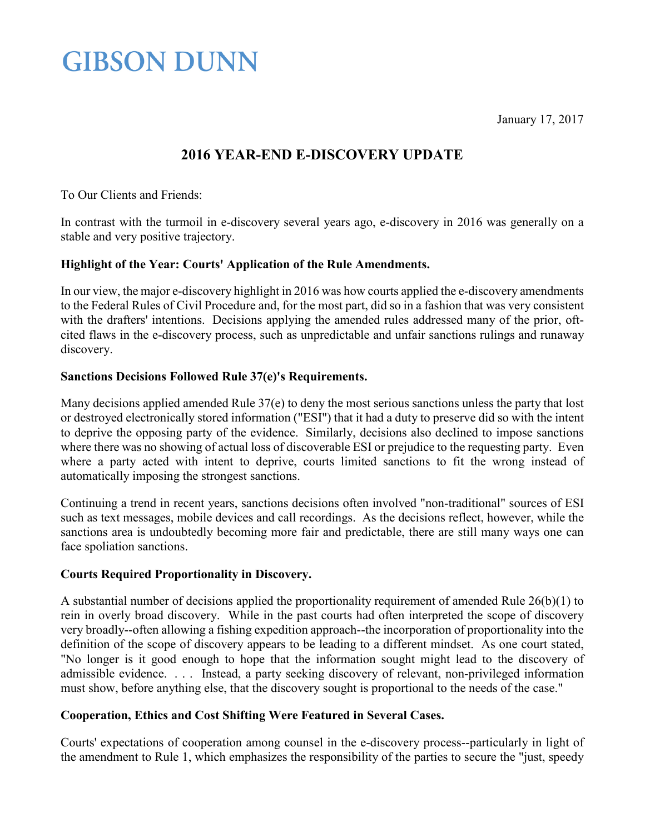January 17, 2017

### **GIBSON DUNN**

### **2016 YEAR-END E-DISCOVERY UPDATE**

To Our Clients and Friends:

In contrast with the turmoil in e-discovery several years ago, e-discovery in 2016 was generally on a stable and very positive trajectory.

#### **Highlight of the Year: Courts' Application of the Rule Amendments.**

In our view, the major e-discovery highlight in 2016 was how courts applied the e-discovery amendments to the Federal Rules of Civil Procedure and, for the most part, did so in a fashion that was very consistent with the drafters' intentions. Decisions applying the amended rules addressed many of the prior, oftcited flaws in the e-discovery process, such as unpredictable and unfair sanctions rulings and runaway discovery.

#### **Sanctions Decisions Followed Rule 37(e)'s Requirements.**

Many decisions applied amended Rule 37(e) to deny the most serious sanctions unless the party that lost or destroyed electronically stored information ("ESI") that it had a duty to preserve did so with the intent to deprive the opposing party of the evidence. Similarly, decisions also declined to impose sanctions where there was no showing of actual loss of discoverable ESI or prejudice to the requesting party. Even where a party acted with intent to deprive, courts limited sanctions to fit the wrong instead of automatically imposing the strongest sanctions.

Continuing a trend in recent years, sanctions decisions often involved "non-traditional" sources of ESI such as text messages, mobile devices and call recordings. As the decisions reflect, however, while the sanctions area is undoubtedly becoming more fair and predictable, there are still many ways one can face spoliation sanctions.

#### **Courts Required Proportionality in Discovery.**

A substantial number of decisions applied the proportionality requirement of amended Rule 26(b)(1) to rein in overly broad discovery. While in the past courts had often interpreted the scope of discovery very broadly--often allowing a fishing expedition approach--the incorporation of proportionality into the definition of the scope of discovery appears to be leading to a different mindset. As one court stated, "No longer is it good enough to hope that the information sought might lead to the discovery of admissible evidence. . . . Instead, a party seeking discovery of relevant, non-privileged information must show, before anything else, that the discovery sought is proportional to the needs of the case."

### **Cooperation, Ethics and Cost Shifting Were Featured in Several Cases.**

Courts' expectations of cooperation among counsel in the e-discovery process--particularly in light of the amendment to Rule 1, which emphasizes the responsibility of the parties to secure the "just, speedy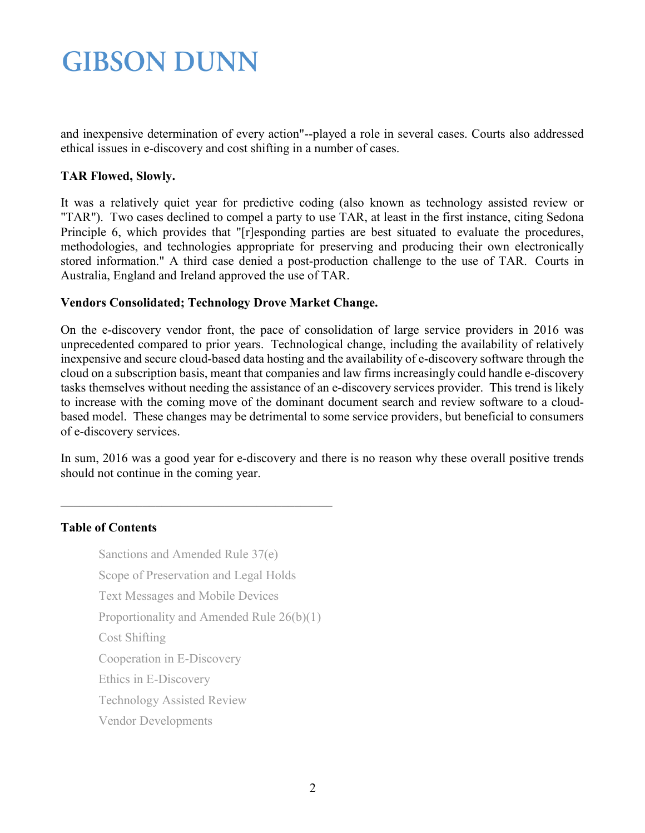and inexpensive determination of every action"--played a role in several cases. Courts also addressed ethical issues in e-discovery and cost shifting in a number of cases.

#### **TAR Flowed, Slowly.**

It was a relatively quiet year for predictive coding (also known as technology assisted review or "TAR"). Two cases declined to compel a party to use TAR, at least in the first instance, citing Sedona Principle 6, which provides that "[r]esponding parties are best situated to evaluate the procedures, methodologies, and technologies appropriate for preserving and producing their own electronically stored information." A third case denied a post-production challenge to the use of TAR. Courts in Australia, England and Ireland approved the use of TAR.

#### **Vendors Consolidated; Technology Drove Market Change.**

On the e-discovery vendor front, the pace of consolidation of large service providers in 2016 was unprecedented compared to prior years. Technological change, including the availability of relatively inexpensive and secure cloud-based data hosting and the availability of e-discovery software through the cloud on a subscription basis, meant that companies and law firms increasingly could handle e-discovery tasks themselves without needing the assistance of an e-discovery services provider. This trend is likely to increase with the coming move of the dominant document search and review software to a cloudbased model. These changes may be detrimental to some service providers, but beneficial to consumers of e-discovery services.

In sum, 2016 was a good year for e-discovery and there is no reason why these overall positive trends should not continue in the coming year.

### **Table of Contents**

[Sanctions and Amended Rule 37\(e\)](#page-2-0)  [Scope of Preservation and Legal Holds](#page-4-0) [Text Messages and Mobile Devices](#page-6-0)

\_\_\_\_\_\_\_\_\_\_\_\_\_\_\_\_\_\_\_\_\_\_\_\_\_\_\_\_\_\_\_\_\_\_\_\_\_\_\_\_\_\_\_

[Proportionality and Amended Rule 26\(b\)\(1\)](#page-6-1)

[Cost Shifting](#page-10-0)

[Cooperation in E-Discovery](#page-10-1)

[Ethics in E-Discovery](#page-12-0)

[Technology Assisted Review](#page-13-0)

[Vendor Developments](#page-15-0)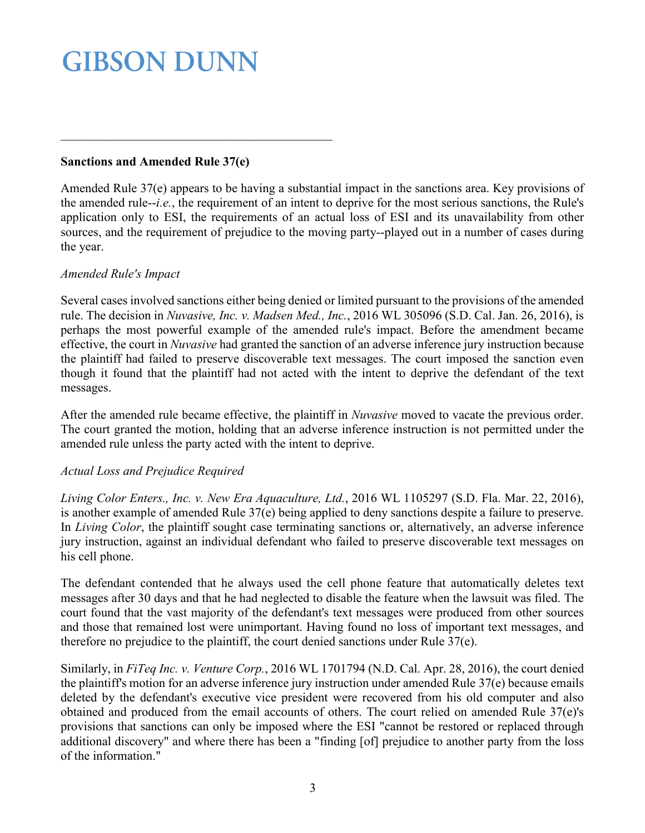#### **Sanctions and Amended Rule 37(e)**

<span id="page-2-0"></span>\_\_\_\_\_\_\_\_\_\_\_\_\_\_\_\_\_\_\_\_\_\_\_\_\_\_\_\_\_\_\_\_\_\_\_\_\_\_\_\_\_\_\_

Amended Rule 37(e) appears to be having a substantial impact in the sanctions area. Key provisions of the amended rule--*i.e.*, the requirement of an intent to deprive for the most serious sanctions, the Rule's application only to ESI, the requirements of an actual loss of ESI and its unavailability from other sources, and the requirement of prejudice to the moving party--played out in a number of cases during the year.

#### *Amended Rule's Impact*

Several cases involved sanctions either being denied or limited pursuant to the provisions of the amended rule. The decision in *Nuvasive, Inc. v. Madsen Med., Inc.*, 2016 WL 305096 (S.D. Cal. Jan. 26, 2016), is perhaps the most powerful example of the amended rule's impact. Before the amendment became effective, the court in *Nuvasive* had granted the sanction of an adverse inference jury instruction because the plaintiff had failed to preserve discoverable text messages. The court imposed the sanction even though it found that the plaintiff had not acted with the intent to deprive the defendant of the text messages.

After the amended rule became effective, the plaintiff in *Nuvasive* moved to vacate the previous order. The court granted the motion, holding that an adverse inference instruction is not permitted under the amended rule unless the party acted with the intent to deprive.

### *Actual Loss and Prejudice Required*

*Living Color Enters., Inc. v. New Era Aquaculture, Ltd.*, 2016 WL 1105297 (S.D. Fla. Mar. 22, 2016), is another example of amended Rule 37(e) being applied to deny sanctions despite a failure to preserve. In *Living Color*, the plaintiff sought case terminating sanctions or, alternatively, an adverse inference jury instruction, against an individual defendant who failed to preserve discoverable text messages on his cell phone.

The defendant contended that he always used the cell phone feature that automatically deletes text messages after 30 days and that he had neglected to disable the feature when the lawsuit was filed. The court found that the vast majority of the defendant's text messages were produced from other sources and those that remained lost were unimportant. Having found no loss of important text messages, and therefore no prejudice to the plaintiff, the court denied sanctions under Rule 37(e).

Similarly, in *FiTeq Inc. v. Venture Corp.*, 2016 WL 1701794 (N.D. Cal. Apr. 28, 2016), the court denied the plaintiff's motion for an adverse inference jury instruction under amended Rule 37(e) because emails deleted by the defendant's executive vice president were recovered from his old computer and also obtained and produced from the email accounts of others. The court relied on amended Rule 37(e)'s provisions that sanctions can only be imposed where the ESI "cannot be restored or replaced through additional discovery" and where there has been a "finding [of] prejudice to another party from the loss of the information."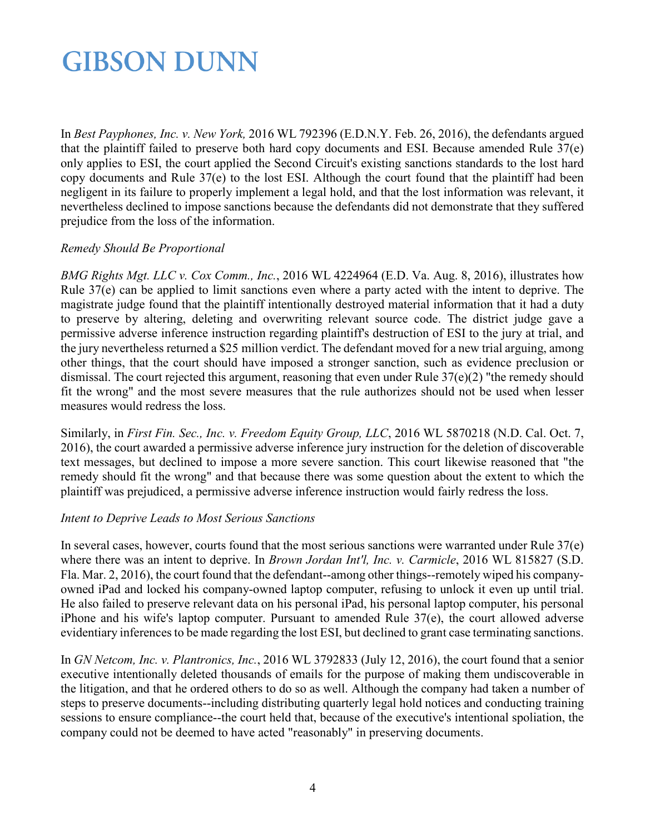In *Best Payphones, Inc. v. New York,* 2016 WL 792396 (E.D.N.Y. Feb. 26, 2016), the defendants argued that the plaintiff failed to preserve both hard copy documents and ESI. Because amended Rule 37(e) only applies to ESI, the court applied the Second Circuit's existing sanctions standards to the lost hard copy documents and Rule 37(e) to the lost ESI. Although the court found that the plaintiff had been negligent in its failure to properly implement a legal hold, and that the lost information was relevant, it nevertheless declined to impose sanctions because the defendants did not demonstrate that they suffered prejudice from the loss of the information.

#### *Remedy Should Be Proportional*

*BMG Rights Mgt. LLC v. Cox Comm., Inc.*, 2016 WL 4224964 (E.D. Va. Aug. 8, 2016), illustrates how Rule 37(e) can be applied to limit sanctions even where a party acted with the intent to deprive. The magistrate judge found that the plaintiff intentionally destroyed material information that it had a duty to preserve by altering, deleting and overwriting relevant source code. The district judge gave a permissive adverse inference instruction regarding plaintiff's destruction of ESI to the jury at trial, and the jury nevertheless returned a \$25 million verdict. The defendant moved for a new trial arguing, among other things, that the court should have imposed a stronger sanction, such as evidence preclusion or dismissal. The court rejected this argument, reasoning that even under Rule 37(e)(2) "the remedy should fit the wrong" and the most severe measures that the rule authorizes should not be used when lesser measures would redress the loss.

Similarly, in *First Fin. Sec., Inc. v. Freedom Equity Group, LLC*, 2016 WL 5870218 (N.D. Cal. Oct. 7, 2016), the court awarded a permissive adverse inference jury instruction for the deletion of discoverable text messages, but declined to impose a more severe sanction. This court likewise reasoned that "the remedy should fit the wrong" and that because there was some question about the extent to which the plaintiff was prejudiced, a permissive adverse inference instruction would fairly redress the loss.

#### *Intent to Deprive Leads to Most Serious Sanctions*

In several cases, however, courts found that the most serious sanctions were warranted under Rule 37(e) where there was an intent to deprive. In *Brown Jordan Int'l, Inc. v. Carmicle*, 2016 WL 815827 (S.D. Fla. Mar. 2, 2016), the court found that the defendant--among other things--remotely wiped his companyowned iPad and locked his company-owned laptop computer, refusing to unlock it even up until trial. He also failed to preserve relevant data on his personal iPad, his personal laptop computer, his personal iPhone and his wife's laptop computer. Pursuant to amended Rule 37(e), the court allowed adverse evidentiary inferences to be made regarding the lost ESI, but declined to grant case terminating sanctions.

In *GN Netcom, Inc. v. Plantronics, Inc.*, 2016 WL 3792833 (July 12, 2016), the court found that a senior executive intentionally deleted thousands of emails for the purpose of making them undiscoverable in the litigation, and that he ordered others to do so as well. Although the company had taken a number of steps to preserve documents--including distributing quarterly legal hold notices and conducting training sessions to ensure compliance--the court held that, because of the executive's intentional spoliation, the company could not be deemed to have acted "reasonably" in preserving documents.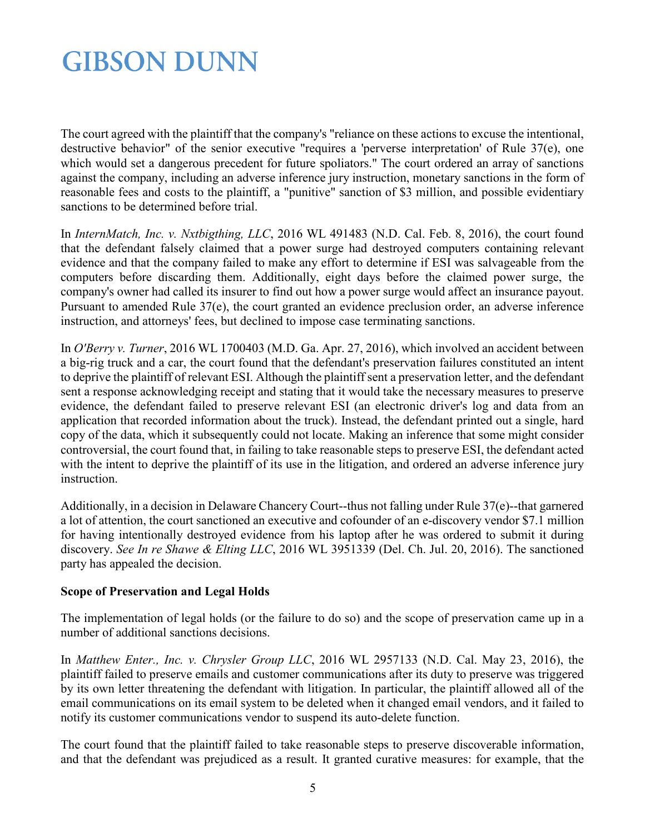The court agreed with the plaintiff that the company's "reliance on these actions to excuse the intentional, destructive behavior" of the senior executive "requires a 'perverse interpretation' of Rule 37(e), one which would set a dangerous precedent for future spoliators." The court ordered an array of sanctions against the company, including an adverse inference jury instruction, monetary sanctions in the form of reasonable fees and costs to the plaintiff, a "punitive" sanction of \$3 million, and possible evidentiary sanctions to be determined before trial.

In *InternMatch, Inc. v. Nxtbigthing, LLC*, 2016 WL 491483 (N.D. Cal. Feb. 8, 2016), the court found that the defendant falsely claimed that a power surge had destroyed computers containing relevant evidence and that the company failed to make any effort to determine if ESI was salvageable from the computers before discarding them. Additionally, eight days before the claimed power surge, the company's owner had called its insurer to find out how a power surge would affect an insurance payout. Pursuant to amended Rule 37(e), the court granted an evidence preclusion order, an adverse inference instruction, and attorneys' fees, but declined to impose case terminating sanctions.

In *O'Berry v. Turner*, 2016 WL 1700403 (M.D. Ga. Apr. 27, 2016), which involved an accident between a big-rig truck and a car, the court found that the defendant's preservation failures constituted an intent to deprive the plaintiff of relevant ESI. Although the plaintiff sent a preservation letter, and the defendant sent a response acknowledging receipt and stating that it would take the necessary measures to preserve evidence, the defendant failed to preserve relevant ESI (an electronic driver's log and data from an application that recorded information about the truck). Instead, the defendant printed out a single, hard copy of the data, which it subsequently could not locate. Making an inference that some might consider controversial, the court found that, in failing to take reasonable steps to preserve ESI, the defendant acted with the intent to deprive the plaintiff of its use in the litigation, and ordered an adverse inference jury instruction.

Additionally, in a decision in Delaware Chancery Court--thus not falling under Rule 37(e)--that garnered a lot of attention, the court sanctioned an executive and cofounder of an e-discovery vendor \$7.1 million for having intentionally destroyed evidence from his laptop after he was ordered to submit it during discovery. *See In re Shawe & Elting LLC*, 2016 WL 3951339 (Del. Ch. Jul. 20, 2016). The sanctioned party has appealed the decision.

### <span id="page-4-0"></span>**Scope of Preservation and Legal Holds**

The implementation of legal holds (or the failure to do so) and the scope of preservation came up in a number of additional sanctions decisions.

In *Matthew Enter., Inc. v. Chrysler Group LLC*, 2016 WL 2957133 (N.D. Cal. May 23, 2016), the plaintiff failed to preserve emails and customer communications after its duty to preserve was triggered by its own letter threatening the defendant with litigation. In particular, the plaintiff allowed all of the email communications on its email system to be deleted when it changed email vendors, and it failed to notify its customer communications vendor to suspend its auto-delete function.

The court found that the plaintiff failed to take reasonable steps to preserve discoverable information, and that the defendant was prejudiced as a result. It granted curative measures: for example, that the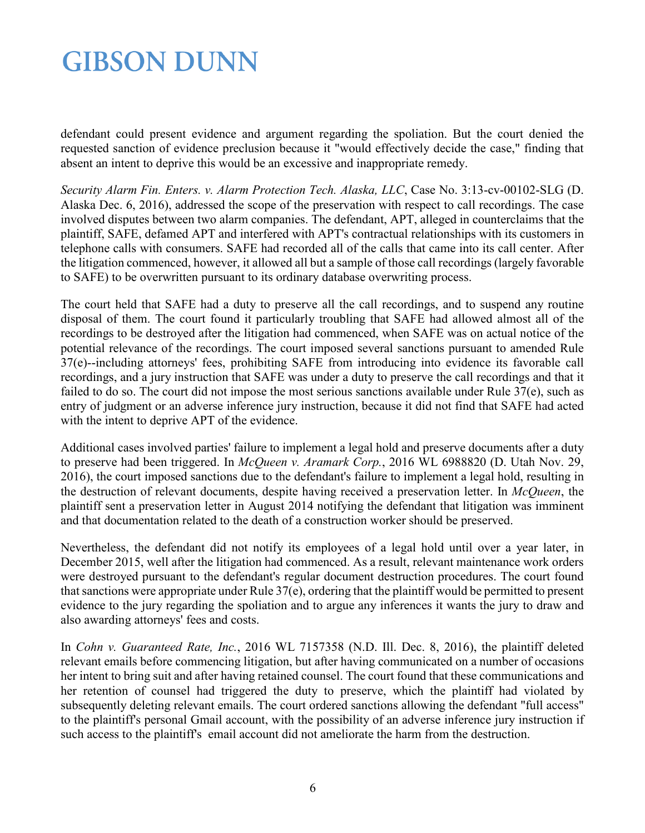defendant could present evidence and argument regarding the spoliation. But the court denied the requested sanction of evidence preclusion because it "would effectively decide the case," finding that absent an intent to deprive this would be an excessive and inappropriate remedy.

*Security Alarm Fin. Enters. v. Alarm Protection Tech. Alaska, LLC*, Case No. 3:13-cv-00102-SLG (D. Alaska Dec. 6, 2016), addressed the scope of the preservation with respect to call recordings. The case involved disputes between two alarm companies. The defendant, APT, alleged in counterclaims that the plaintiff, SAFE, defamed APT and interfered with APT's contractual relationships with its customers in telephone calls with consumers. SAFE had recorded all of the calls that came into its call center. After the litigation commenced, however, it allowed all but a sample of those call recordings (largely favorable to SAFE) to be overwritten pursuant to its ordinary database overwriting process.

The court held that SAFE had a duty to preserve all the call recordings, and to suspend any routine disposal of them. The court found it particularly troubling that SAFE had allowed almost all of the recordings to be destroyed after the litigation had commenced, when SAFE was on actual notice of the potential relevance of the recordings. The court imposed several sanctions pursuant to amended Rule 37(e)--including attorneys' fees, prohibiting SAFE from introducing into evidence its favorable call recordings, and a jury instruction that SAFE was under a duty to preserve the call recordings and that it failed to do so. The court did not impose the most serious sanctions available under Rule 37(e), such as entry of judgment or an adverse inference jury instruction, because it did not find that SAFE had acted with the intent to deprive APT of the evidence.

Additional cases involved parties' failure to implement a legal hold and preserve documents after a duty to preserve had been triggered. In *McQueen v. Aramark Corp.*, 2016 WL 6988820 (D. Utah Nov. 29, 2016), the court imposed sanctions due to the defendant's failure to implement a legal hold, resulting in the destruction of relevant documents, despite having received a preservation letter. In *McQueen*, the plaintiff sent a preservation letter in August 2014 notifying the defendant that litigation was imminent and that documentation related to the death of a construction worker should be preserved.

Nevertheless, the defendant did not notify its employees of a legal hold until over a year later, in December 2015, well after the litigation had commenced. As a result, relevant maintenance work orders were destroyed pursuant to the defendant's regular document destruction procedures. The court found that sanctions were appropriate under Rule 37(e), ordering that the plaintiff would be permitted to present evidence to the jury regarding the spoliation and to argue any inferences it wants the jury to draw and also awarding attorneys' fees and costs.

In *Cohn v. Guaranteed Rate, Inc.*, 2016 WL 7157358 (N.D. Ill. Dec. 8, 2016), the plaintiff deleted relevant emails before commencing litigation, but after having communicated on a number of occasions her intent to bring suit and after having retained counsel. The court found that these communications and her retention of counsel had triggered the duty to preserve, which the plaintiff had violated by subsequently deleting relevant emails. The court ordered sanctions allowing the defendant "full access" to the plaintiff's personal Gmail account, with the possibility of an adverse inference jury instruction if such access to the plaintiff's email account did not ameliorate the harm from the destruction.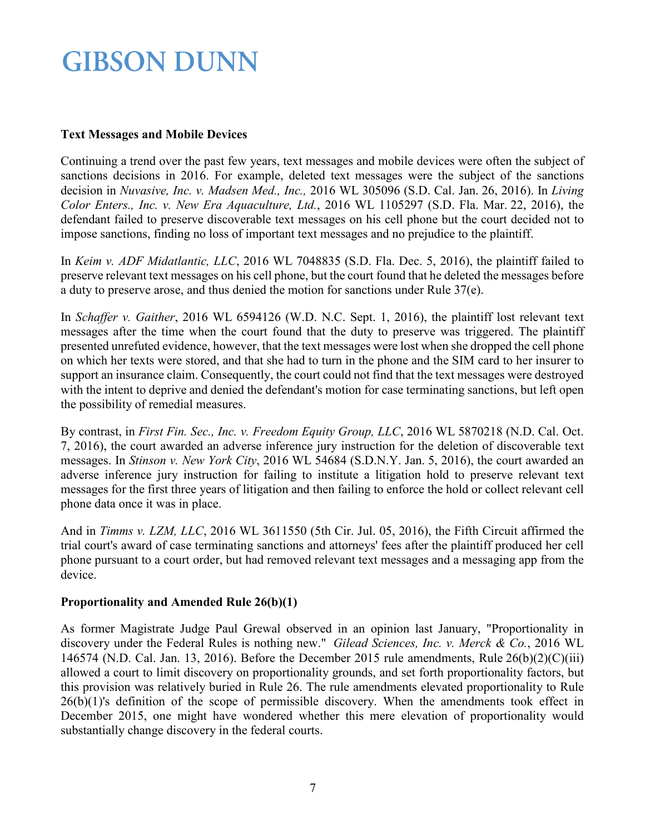#### <span id="page-6-0"></span>**Text Messages and Mobile Devices**

Continuing a trend over the past few years, text messages and mobile devices were often the subject of sanctions decisions in 2016. For example, deleted text messages were the subject of the sanctions decision in *Nuvasive, Inc. v. Madsen Med., Inc.,* 2016 WL 305096 (S.D. Cal. Jan. 26, 2016). In *Living Color Enters., Inc. v. New Era Aquaculture, Ltd.*, 2016 WL 1105297 (S.D. Fla. Mar. 22, 2016), the defendant failed to preserve discoverable text messages on his cell phone but the court decided not to impose sanctions, finding no loss of important text messages and no prejudice to the plaintiff.

In *Keim v. ADF Midatlantic, LLC*, 2016 WL 7048835 (S.D. Fla. Dec. 5, 2016), the plaintiff failed to preserve relevant text messages on his cell phone, but the court found that he deleted the messages before a duty to preserve arose, and thus denied the motion for sanctions under Rule 37(e).

In *Schaffer v. Gaither*, 2016 WL 6594126 (W.D. N.C. Sept. 1, 2016), the plaintiff lost relevant text messages after the time when the court found that the duty to preserve was triggered. The plaintiff presented unrefuted evidence, however, that the text messages were lost when she dropped the cell phone on which her texts were stored, and that she had to turn in the phone and the SIM card to her insurer to support an insurance claim. Consequently, the court could not find that the text messages were destroyed with the intent to deprive and denied the defendant's motion for case terminating sanctions, but left open the possibility of remedial measures.

By contrast, in *First Fin. Sec., Inc. v. Freedom Equity Group, LLC*, 2016 WL 5870218 (N.D. Cal. Oct. 7, 2016), the court awarded an adverse inference jury instruction for the deletion of discoverable text messages. In *Stinson v. New York City*, 2016 WL 54684 (S.D.N.Y. Jan. 5, 2016), the court awarded an adverse inference jury instruction for failing to institute a litigation hold to preserve relevant text messages for the first three years of litigation and then failing to enforce the hold or collect relevant cell phone data once it was in place.

And in *Timms v. LZM, LLC*, 2016 WL 3611550 (5th Cir. Jul. 05, 2016), the Fifth Circuit affirmed the trial court's award of case terminating sanctions and attorneys' fees after the plaintiff produced her cell phone pursuant to a court order, but had removed relevant text messages and a messaging app from the device.

### <span id="page-6-1"></span>**Proportionality and Amended Rule 26(b)(1)**

As former Magistrate Judge Paul Grewal observed in an opinion last January, "Proportionality in discovery under the Federal Rules is nothing new." *Gilead Sciences, Inc. v. Merck & Co.*, 2016 WL 146574 (N.D. Cal. Jan. 13, 2016). Before the December 2015 rule amendments, Rule  $26(b)(2)(C)(iii)$ allowed a court to limit discovery on proportionality grounds, and set forth proportionality factors, but this provision was relatively buried in Rule 26. The rule amendments elevated proportionality to Rule  $26(b)(1)$ 's definition of the scope of permissible discovery. When the amendments took effect in December 2015, one might have wondered whether this mere elevation of proportionality would substantially change discovery in the federal courts.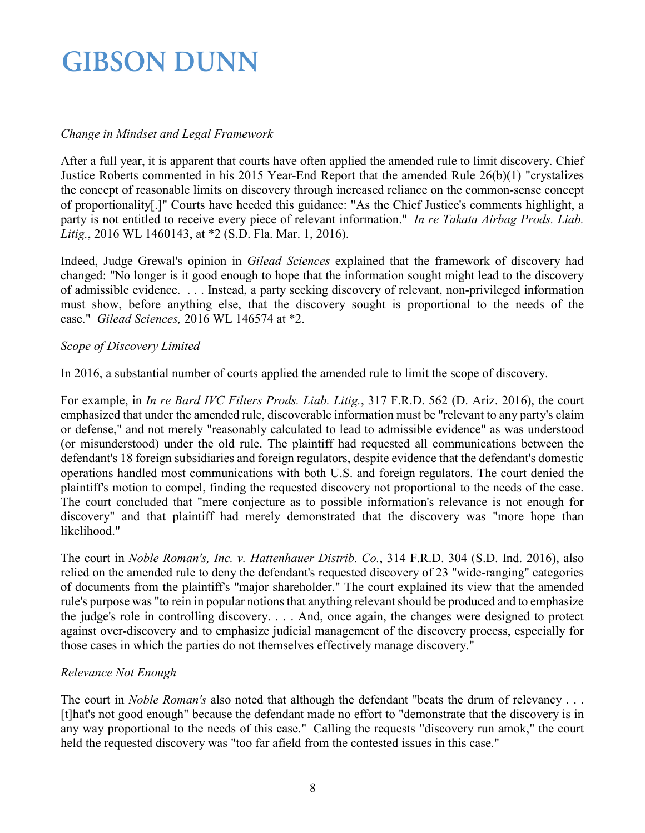### *Change in Mindset and Legal Framework*

After a full year, it is apparent that courts have often applied the amended rule to limit discovery. Chief Justice Roberts commented in his 2015 Year-End Report that the amended Rule 26(b)(1) "crystalizes the concept of reasonable limits on discovery through increased reliance on the common-sense concept of proportionality[.]" Courts have heeded this guidance: "As the Chief Justice's comments highlight, a party is not entitled to receive every piece of relevant information." *In re Takata Airbag Prods. Liab. Litig.*, 2016 WL 1460143, at \*2 (S.D. Fla. Mar. 1, 2016).

Indeed, Judge Grewal's opinion in *Gilead Sciences* explained that the framework of discovery had changed: "No longer is it good enough to hope that the information sought might lead to the discovery of admissible evidence. . . . Instead, a party seeking discovery of relevant, non-privileged information must show, before anything else, that the discovery sought is proportional to the needs of the case." *Gilead Sciences,* 2016 WL 146574 at \*2.

#### *Scope of Discovery Limited*

In 2016, a substantial number of courts applied the amended rule to limit the scope of discovery.

For example, in *In re Bard IVC Filters Prods. Liab. Litig.*, 317 F.R.D. 562 (D. Ariz. 2016), the court emphasized that under the amended rule, discoverable information must be "relevant to any party's claim or defense," and not merely "reasonably calculated to lead to admissible evidence" as was understood (or misunderstood) under the old rule. The plaintiff had requested all communications between the defendant's 18 foreign subsidiaries and foreign regulators, despite evidence that the defendant's domestic operations handled most communications with both U.S. and foreign regulators. The court denied the plaintiff's motion to compel, finding the requested discovery not proportional to the needs of the case. The court concluded that "mere conjecture as to possible information's relevance is not enough for discovery" and that plaintiff had merely demonstrated that the discovery was "more hope than likelihood."

The court in *Noble Roman's, Inc. v. Hattenhauer Distrib. Co.*, 314 F.R.D. 304 (S.D. Ind. 2016), also relied on the amended rule to deny the defendant's requested discovery of 23 "wide-ranging" categories of documents from the plaintiff's "major shareholder." The court explained its view that the amended rule's purpose was "to rein in popular notions that anything relevant should be produced and to emphasize the judge's role in controlling discovery. . . . And, once again, the changes were designed to protect against over-discovery and to emphasize judicial management of the discovery process, especially for those cases in which the parties do not themselves effectively manage discovery."

### *Relevance Not Enough*

The court in *Noble Roman's* also noted that although the defendant "beats the drum of relevancy . . . [t]hat's not good enough" because the defendant made no effort to "demonstrate that the discovery is in any way proportional to the needs of this case." Calling the requests "discovery run amok," the court held the requested discovery was "too far afield from the contested issues in this case."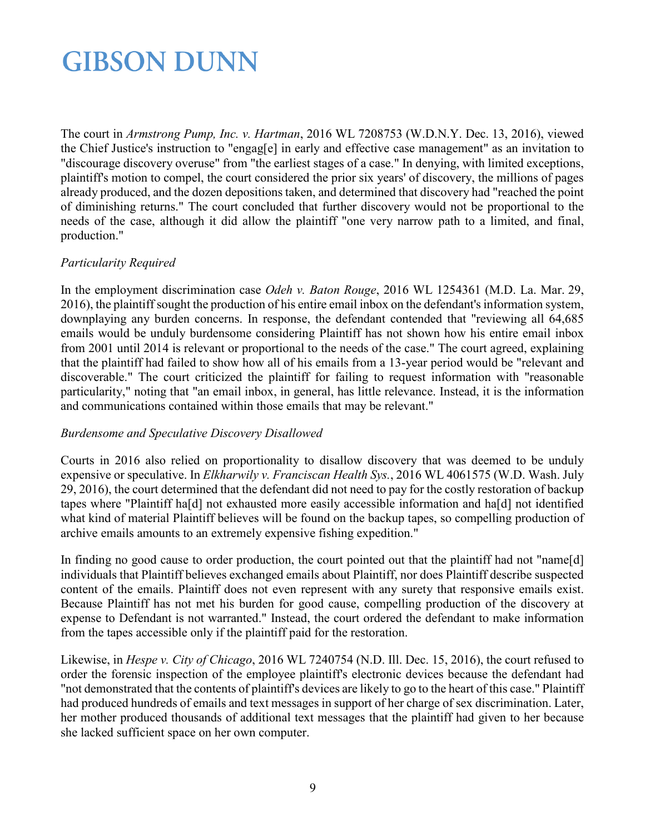The court in *Armstrong Pump, Inc. v. Hartman*, 2016 WL 7208753 (W.D.N.Y. Dec. 13, 2016), viewed the Chief Justice's instruction to "engag[e] in early and effective case management" as an invitation to "discourage discovery overuse" from "the earliest stages of a case." In denying, with limited exceptions, plaintiff's motion to compel, the court considered the prior six years' of discovery, the millions of pages already produced, and the dozen depositions taken, and determined that discovery had "reached the point of diminishing returns." The court concluded that further discovery would not be proportional to the needs of the case, although it did allow the plaintiff "one very narrow path to a limited, and final, production."

### *Particularity Required*

In the employment discrimination case *Odeh v. Baton Rouge*, 2016 WL 1254361 (M.D. La. Mar. 29, 2016), the plaintiff sought the production of his entire email inbox on the defendant's information system, downplaying any burden concerns. In response, the defendant contended that "reviewing all 64,685 emails would be unduly burdensome considering Plaintiff has not shown how his entire email inbox from 2001 until 2014 is relevant or proportional to the needs of the case." The court agreed, explaining that the plaintiff had failed to show how all of his emails from a 13-year period would be "relevant and discoverable." The court criticized the plaintiff for failing to request information with "reasonable particularity," noting that "an email inbox, in general, has little relevance. Instead, it is the information and communications contained within those emails that may be relevant."

### *Burdensome and Speculative Discovery Disallowed*

Courts in 2016 also relied on proportionality to disallow discovery that was deemed to be unduly expensive or speculative. In *Elkharwily v. Franciscan Health Sys.*, 2016 WL 4061575 (W.D. Wash. July 29, 2016), the court determined that the defendant did not need to pay for the costly restoration of backup tapes where "Plaintiff ha[d] not exhausted more easily accessible information and ha[d] not identified what kind of material Plaintiff believes will be found on the backup tapes, so compelling production of archive emails amounts to an extremely expensive fishing expedition."

In finding no good cause to order production, the court pointed out that the plaintiff had not "name[d] individuals that Plaintiff believes exchanged emails about Plaintiff, nor does Plaintiff describe suspected content of the emails. Plaintiff does not even represent with any surety that responsive emails exist. Because Plaintiff has not met his burden for good cause, compelling production of the discovery at expense to Defendant is not warranted." Instead, the court ordered the defendant to make information from the tapes accessible only if the plaintiff paid for the restoration.

Likewise, in *Hespe v. City of Chicago*, 2016 WL 7240754 (N.D. Ill. Dec. 15, 2016), the court refused to order the forensic inspection of the employee plaintiff's electronic devices because the defendant had "not demonstrated that the contents of plaintiff's devices are likely to go to the heart of this case." Plaintiff had produced hundreds of emails and text messages in support of her charge of sex discrimination. Later, her mother produced thousands of additional text messages that the plaintiff had given to her because she lacked sufficient space on her own computer.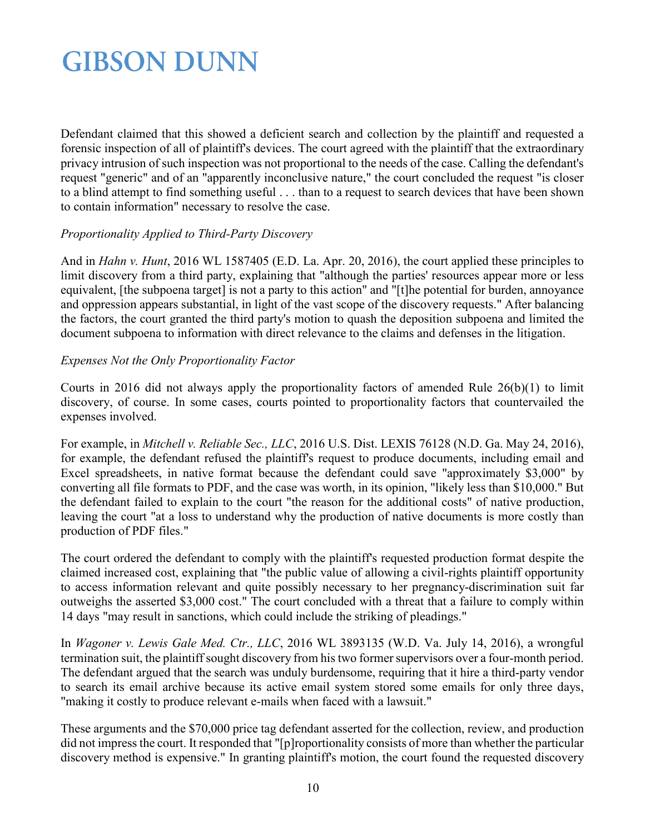Defendant claimed that this showed a deficient search and collection by the plaintiff and requested a forensic inspection of all of plaintiff's devices. The court agreed with the plaintiff that the extraordinary privacy intrusion of such inspection was not proportional to the needs of the case. Calling the defendant's request "generic" and of an "apparently inconclusive nature," the court concluded the request "is closer to a blind attempt to find something useful . . . than to a request to search devices that have been shown to contain information" necessary to resolve the case.

#### *Proportionality Applied to Third-Party Discovery*

And in *Hahn v. Hunt*, 2016 WL 1587405 (E.D. La. Apr. 20, 2016), the court applied these principles to limit discovery from a third party, explaining that "although the parties' resources appear more or less equivalent, [the subpoena target] is not a party to this action" and "[t]he potential for burden, annoyance and oppression appears substantial, in light of the vast scope of the discovery requests." After balancing the factors, the court granted the third party's motion to quash the deposition subpoena and limited the document subpoena to information with direct relevance to the claims and defenses in the litigation.

#### *Expenses Not the Only Proportionality Factor*

Courts in 2016 did not always apply the proportionality factors of amended Rule 26(b)(1) to limit discovery, of course. In some cases, courts pointed to proportionality factors that countervailed the expenses involved.

For example, in *Mitchell v. Reliable Sec., LLC*, 2016 U.S. Dist. LEXIS 76128 (N.D. Ga. May 24, 2016), for example, the defendant refused the plaintiff's request to produce documents, including email and Excel spreadsheets, in native format because the defendant could save "approximately \$3,000" by converting all file formats to PDF, and the case was worth, in its opinion, "likely less than \$10,000." But the defendant failed to explain to the court "the reason for the additional costs" of native production, leaving the court "at a loss to understand why the production of native documents is more costly than production of PDF files."

The court ordered the defendant to comply with the plaintiff's requested production format despite the claimed increased cost, explaining that "the public value of allowing a civil-rights plaintiff opportunity to access information relevant and quite possibly necessary to her pregnancy-discrimination suit far outweighs the asserted \$3,000 cost." The court concluded with a threat that a failure to comply within 14 days "may result in sanctions, which could include the striking of pleadings."

In *Wagoner v. Lewis Gale Med. Ctr., LLC*, 2016 WL 3893135 (W.D. Va. July 14, 2016), a wrongful termination suit, the plaintiff sought discovery from his two former supervisors over a four-month period. The defendant argued that the search was unduly burdensome, requiring that it hire a third-party vendor to search its email archive because its active email system stored some emails for only three days, "making it costly to produce relevant e-mails when faced with a lawsuit."

These arguments and the \$70,000 price tag defendant asserted for the collection, review, and production did not impress the court. It responded that "[p]roportionality consists of more than whether the particular discovery method is expensive." In granting plaintiff's motion, the court found the requested discovery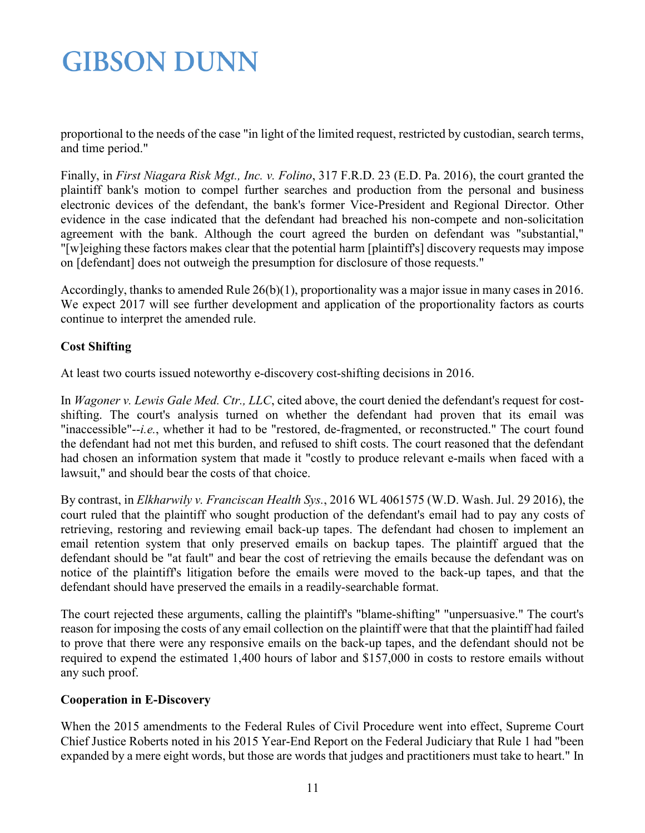proportional to the needs of the case "in light of the limited request, restricted by custodian, search terms, and time period."

Finally, in *First Niagara Risk Mgt., Inc. v. Folino*, 317 F.R.D. 23 (E.D. Pa. 2016), the court granted the plaintiff bank's motion to compel further searches and production from the personal and business electronic devices of the defendant, the bank's former Vice-President and Regional Director. Other evidence in the case indicated that the defendant had breached his non-compete and non-solicitation agreement with the bank. Although the court agreed the burden on defendant was "substantial," "[w]eighing these factors makes clear that the potential harm [plaintiff's] discovery requests may impose on [defendant] does not outweigh the presumption for disclosure of those requests."

Accordingly, thanks to amended Rule 26(b)(1), proportionality was a major issue in many cases in 2016. We expect 2017 will see further development and application of the proportionality factors as courts continue to interpret the amended rule.

### <span id="page-10-0"></span>**Cost Shifting**

At least two courts issued noteworthy e-discovery cost-shifting decisions in 2016.

In *Wagoner v. Lewis Gale Med. Ctr., LLC*, cited above, the court denied the defendant's request for costshifting. The court's analysis turned on whether the defendant had proven that its email was "inaccessible"--*i.e.*, whether it had to be "restored, de-fragmented, or reconstructed." The court found the defendant had not met this burden, and refused to shift costs. The court reasoned that the defendant had chosen an information system that made it "costly to produce relevant e-mails when faced with a lawsuit," and should bear the costs of that choice.

By contrast, in *Elkharwily v. Franciscan Health Sys.*, 2016 WL 4061575 (W.D. Wash. Jul. 29 2016), the court ruled that the plaintiff who sought production of the defendant's email had to pay any costs of retrieving, restoring and reviewing email back-up tapes. The defendant had chosen to implement an email retention system that only preserved emails on backup tapes. The plaintiff argued that the defendant should be "at fault" and bear the cost of retrieving the emails because the defendant was on notice of the plaintiff's litigation before the emails were moved to the back-up tapes, and that the defendant should have preserved the emails in a readily-searchable format.

The court rejected these arguments, calling the plaintiff's "blame-shifting" "unpersuasive." The court's reason for imposing the costs of any email collection on the plaintiff were that that the plaintiff had failed to prove that there were any responsive emails on the back-up tapes, and the defendant should not be required to expend the estimated 1,400 hours of labor and \$157,000 in costs to restore emails without any such proof.

### <span id="page-10-1"></span>**Cooperation in E-Discovery**

When the 2015 amendments to the Federal Rules of Civil Procedure went into effect, Supreme Court Chief Justice Roberts noted in his 2015 Year-End Report on the Federal Judiciary that Rule 1 had "been expanded by a mere eight words, but those are words that judges and practitioners must take to heart." In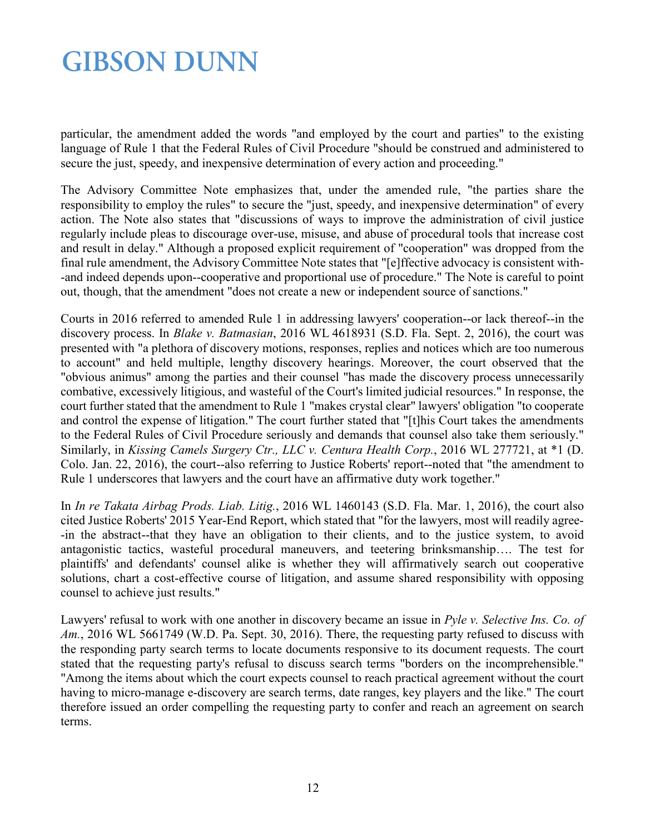particular, the amendment added the words "and employed by the court and parties" to the existing language of Rule 1 that the Federal Rules of Civil Procedure "should be construed and administered to secure the just, speedy, and inexpensive determination of every action and proceeding."

The Advisory Committee Note emphasizes that, under the amended rule, "the parties share the responsibility to employ the rules" to secure the "just, speedy, and inexpensive determination" of every action. The Note also states that "discussions of ways to improve the administration of civil justice regularly include pleas to discourage over-use, misuse, and abuse of procedural tools that increase cost and result in delay." Although a proposed explicit requirement of "cooperation" was dropped from the final rule amendment, the Advisory Committee Note states that "[e]ffective advocacy is consistent with- -and indeed depends upon--cooperative and proportional use of procedure." The Note is careful to point out, though, that the amendment "does not create a new or independent source of sanctions."

Courts in 2016 referred to amended Rule 1 in addressing lawyers' cooperation--or lack thereof--in the discovery process. In *Blake v. Batmasian*, 2016 WL 4618931 (S.D. Fla. Sept. 2, 2016), the court was presented with "a plethora of discovery motions, responses, replies and notices which are too numerous to account" and held multiple, lengthy discovery hearings. Moreover, the court observed that the "obvious animus" among the parties and their counsel "has made the discovery process unnecessarily combative, excessively litigious, and wasteful of the Court's limited judicial resources." In response, the court further stated that the amendment to Rule 1 "makes crystal clear" lawyers' obligation "to cooperate and control the expense of litigation." The court further stated that "[t]his Court takes the amendments to the Federal Rules of Civil Procedure seriously and demands that counsel also take them seriously." Similarly, in *Kissing Camels Surgery Ctr., LLC v. Centura Health Corp.*, 2016 WL 277721, at \*1 (D. Colo. Jan. 22, 2016), the court--also referring to Justice Roberts' report--noted that "the amendment to Rule 1 underscores that lawyers and the court have an affirmative duty work together."

In *In re Takata Airbag Prods. Liab. Litig.*, 2016 WL 1460143 (S.D. Fla. Mar. 1, 2016), the court also cited Justice Roberts' 2015 Year-End Report, which stated that "for the lawyers, most will readily agree- -in the abstract--that they have an obligation to their clients, and to the justice system, to avoid antagonistic tactics, wasteful procedural maneuvers, and teetering brinksmanship…. The test for plaintiffs' and defendants' counsel alike is whether they will affirmatively search out cooperative solutions, chart a cost-effective course of litigation, and assume shared responsibility with opposing counsel to achieve just results."

Lawyers' refusal to work with one another in discovery became an issue in *Pyle v. Selective Ins. Co. of Am.*, 2016 WL 5661749 (W.D. Pa. Sept. 30, 2016). There, the requesting party refused to discuss with the responding party search terms to locate documents responsive to its document requests. The court stated that the requesting party's refusal to discuss search terms "borders on the incomprehensible." "Among the items about which the court expects counsel to reach practical agreement without the court having to micro-manage e-discovery are search terms, date ranges, key players and the like." The court therefore issued an order compelling the requesting party to confer and reach an agreement on search terms.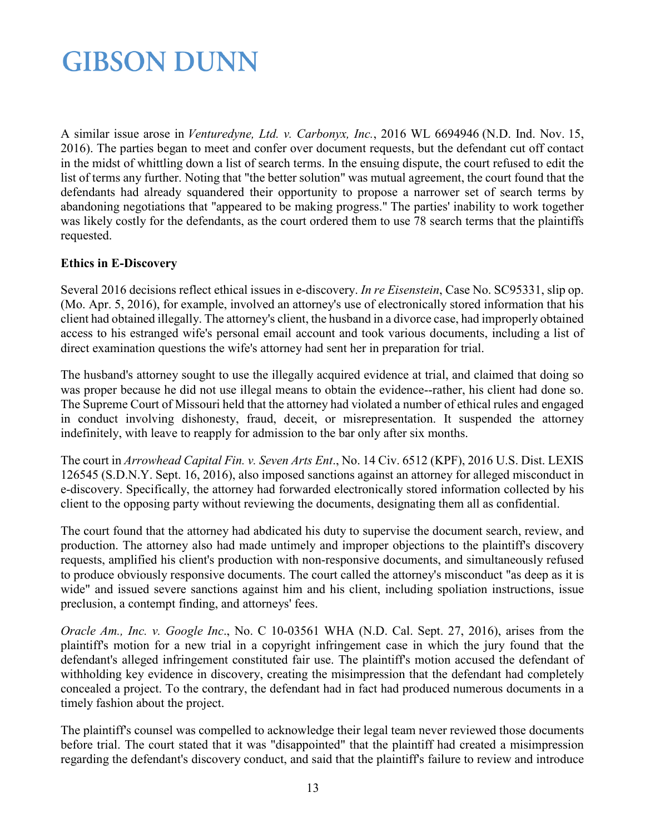A similar issue arose in *Venturedyne, Ltd. v. Carbonyx, Inc.*, 2016 WL 6694946 (N.D. Ind. Nov. 15, 2016). The parties began to meet and confer over document requests, but the defendant cut off contact in the midst of whittling down a list of search terms. In the ensuing dispute, the court refused to edit the list of terms any further. Noting that "the better solution" was mutual agreement, the court found that the defendants had already squandered their opportunity to propose a narrower set of search terms by abandoning negotiations that "appeared to be making progress." The parties' inability to work together was likely costly for the defendants, as the court ordered them to use 78 search terms that the plaintiffs requested.

### <span id="page-12-0"></span>**Ethics in E-Discovery**

Several 2016 decisions reflect ethical issues in e-discovery. *In re Eisenstein*, Case No. SC95331, slip op. (Mo. Apr. 5, 2016), for example, involved an attorney's use of electronically stored information that his client had obtained illegally. The attorney's client, the husband in a divorce case, had improperly obtained access to his estranged wife's personal email account and took various documents, including a list of direct examination questions the wife's attorney had sent her in preparation for trial.

The husband's attorney sought to use the illegally acquired evidence at trial, and claimed that doing so was proper because he did not use illegal means to obtain the evidence--rather, his client had done so. The Supreme Court of Missouri held that the attorney had violated a number of ethical rules and engaged in conduct involving dishonesty, fraud, deceit, or misrepresentation. It suspended the attorney indefinitely, with leave to reapply for admission to the bar only after six months.

The court in *Arrowhead Capital Fin. v. Seven Arts Ent*., No. 14 Civ. 6512 (KPF), 2016 U.S. Dist. LEXIS 126545 (S.D.N.Y. Sept. 16, 2016), also imposed sanctions against an attorney for alleged misconduct in e-discovery. Specifically, the attorney had forwarded electronically stored information collected by his client to the opposing party without reviewing the documents, designating them all as confidential.

The court found that the attorney had abdicated his duty to supervise the document search, review, and production. The attorney also had made untimely and improper objections to the plaintiff's discovery requests, amplified his client's production with non-responsive documents, and simultaneously refused to produce obviously responsive documents. The court called the attorney's misconduct "as deep as it is wide" and issued severe sanctions against him and his client, including spoliation instructions, issue preclusion, a contempt finding, and attorneys' fees.

*Oracle Am., Inc. v. Google Inc*., No. C 10-03561 WHA (N.D. Cal. Sept. 27, 2016), arises from the plaintiff's motion for a new trial in a copyright infringement case in which the jury found that the defendant's alleged infringement constituted fair use. The plaintiff's motion accused the defendant of withholding key evidence in discovery, creating the misimpression that the defendant had completely concealed a project. To the contrary, the defendant had in fact had produced numerous documents in a timely fashion about the project.

The plaintiff's counsel was compelled to acknowledge their legal team never reviewed those documents before trial. The court stated that it was "disappointed" that the plaintiff had created a misimpression regarding the defendant's discovery conduct, and said that the plaintiff's failure to review and introduce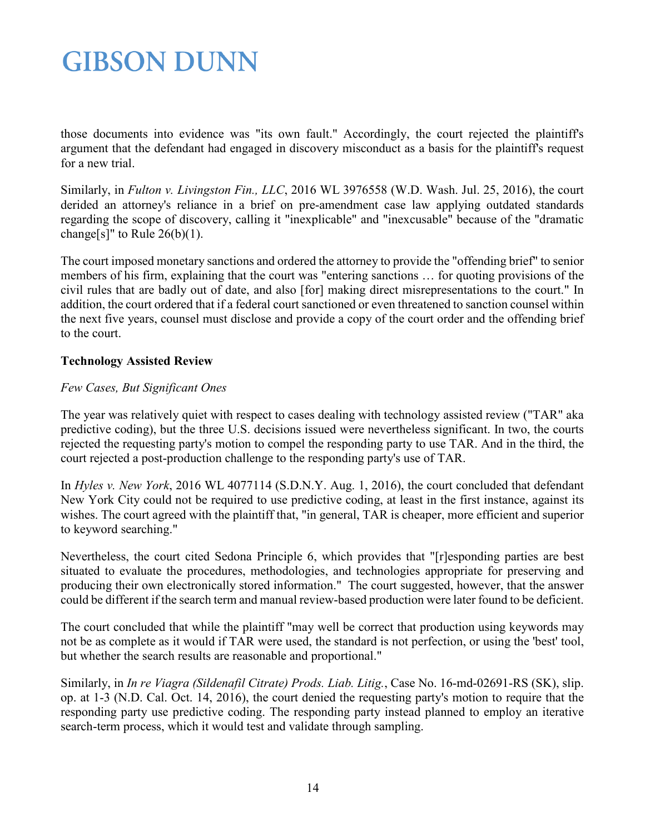those documents into evidence was "its own fault." Accordingly, the court rejected the plaintiff's argument that the defendant had engaged in discovery misconduct as a basis for the plaintiff's request for a new trial.

Similarly, in *Fulton v. Livingston Fin., LLC*, 2016 WL 3976558 (W.D. Wash. Jul. 25, 2016), the court derided an attorney's reliance in a brief on pre-amendment case law applying outdated standards regarding the scope of discovery, calling it "inexplicable" and "inexcusable" because of the "dramatic change[s]" to Rule  $26(b)(1)$ .

The court imposed monetary sanctions and ordered the attorney to provide the "offending brief" to senior members of his firm, explaining that the court was "entering sanctions … for quoting provisions of the civil rules that are badly out of date, and also [for] making direct misrepresentations to the court." In addition, the court ordered that if a federal court sanctioned or even threatened to sanction counsel within the next five years, counsel must disclose and provide a copy of the court order and the offending brief to the court.

### <span id="page-13-0"></span>**Technology Assisted Review**

#### *Few Cases, But Significant Ones*

The year was relatively quiet with respect to cases dealing with technology assisted review ("TAR" aka predictive coding), but the three U.S. decisions issued were nevertheless significant. In two, the courts rejected the requesting party's motion to compel the responding party to use TAR. And in the third, the court rejected a post-production challenge to the responding party's use of TAR.

In *Hyles v. New York*, 2016 WL 4077114 (S.D.N.Y. Aug. 1, 2016), the court concluded that defendant New York City could not be required to use predictive coding, at least in the first instance, against its wishes. The court agreed with the plaintiff that, "in general, TAR is cheaper, more efficient and superior to keyword searching."

Nevertheless, the court cited Sedona Principle 6, which provides that "[r]esponding parties are best situated to evaluate the procedures, methodologies, and technologies appropriate for preserving and producing their own electronically stored information." The court suggested, however, that the answer could be different if the search term and manual review-based production were later found to be deficient.

The court concluded that while the plaintiff "may well be correct that production using keywords may not be as complete as it would if TAR were used, the standard is not perfection, or using the 'best' tool, but whether the search results are reasonable and proportional."

Similarly, in *In re Viagra (Sildenafil Citrate) Prods. Liab. Litig.*, Case No. 16-md-02691-RS (SK), slip. op. at 1-3 (N.D. Cal. Oct. 14, 2016), the court denied the requesting party's motion to require that the responding party use predictive coding. The responding party instead planned to employ an iterative search-term process, which it would test and validate through sampling.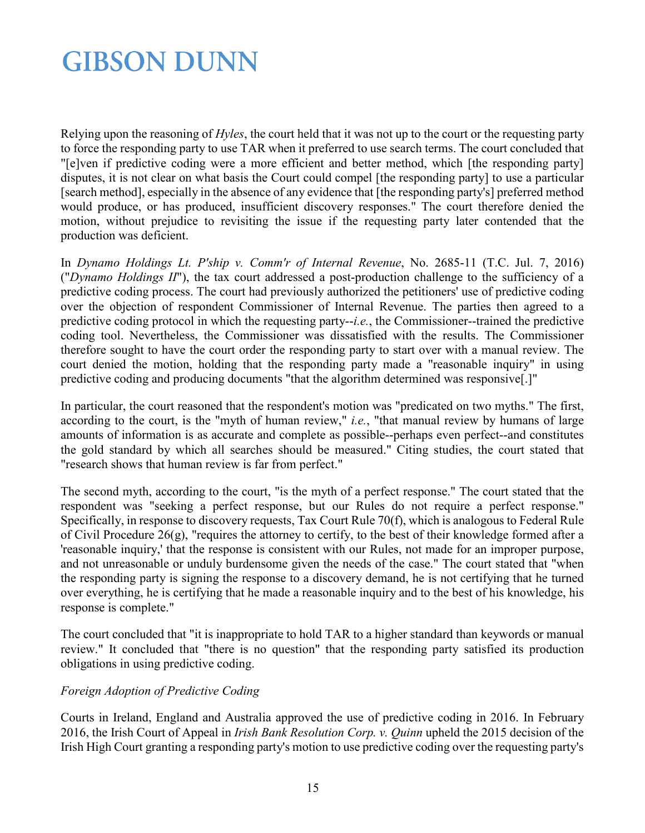Relying upon the reasoning of *Hyles*, the court held that it was not up to the court or the requesting party to force the responding party to use TAR when it preferred to use search terms. The court concluded that "[e]ven if predictive coding were a more efficient and better method, which [the responding party] disputes, it is not clear on what basis the Court could compel [the responding party] to use a particular [search method], especially in the absence of any evidence that [the responding party's] preferred method would produce, or has produced, insufficient discovery responses." The court therefore denied the motion, without prejudice to revisiting the issue if the requesting party later contended that the production was deficient.

In *Dynamo Holdings Lt. P'ship v. Comm'r of Internal Revenue*, No. 2685-11 (T.C. Jul. 7, 2016) ("*Dynamo Holdings II*"), the tax court addressed a post-production challenge to the sufficiency of a predictive coding process. The court had previously authorized the petitioners' use of predictive coding over the objection of respondent Commissioner of Internal Revenue. The parties then agreed to a predictive coding protocol in which the requesting party--*i.e.*, the Commissioner--trained the predictive coding tool. Nevertheless, the Commissioner was dissatisfied with the results. The Commissioner therefore sought to have the court order the responding party to start over with a manual review. The court denied the motion, holding that the responding party made a "reasonable inquiry" in using predictive coding and producing documents "that the algorithm determined was responsive[.]"

In particular, the court reasoned that the respondent's motion was "predicated on two myths." The first, according to the court, is the "myth of human review," *i.e.*, "that manual review by humans of large amounts of information is as accurate and complete as possible--perhaps even perfect--and constitutes the gold standard by which all searches should be measured." Citing studies, the court stated that "research shows that human review is far from perfect."

The second myth, according to the court, "is the myth of a perfect response." The court stated that the respondent was "seeking a perfect response, but our Rules do not require a perfect response." Specifically, in response to discovery requests, Tax Court Rule 70(f), which is analogous to Federal Rule of Civil Procedure 26(g), "requires the attorney to certify, to the best of their knowledge formed after a 'reasonable inquiry,' that the response is consistent with our Rules, not made for an improper purpose, and not unreasonable or unduly burdensome given the needs of the case." The court stated that "when the responding party is signing the response to a discovery demand, he is not certifying that he turned over everything, he is certifying that he made a reasonable inquiry and to the best of his knowledge, his response is complete."

The court concluded that "it is inappropriate to hold TAR to a higher standard than keywords or manual review." It concluded that "there is no question" that the responding party satisfied its production obligations in using predictive coding.

### *Foreign Adoption of Predictive Coding*

Courts in Ireland, England and Australia approved the use of predictive coding in 2016. In February 2016, the Irish Court of Appeal in *Irish Bank Resolution Corp. v. Quinn* upheld the 2015 decision of the Irish High Court granting a responding party's motion to use predictive coding over the requesting party's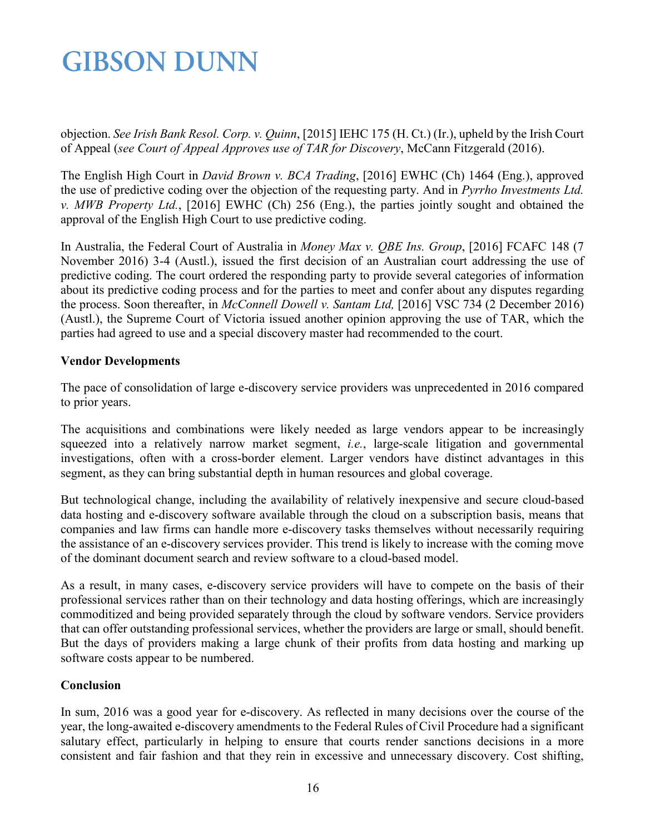objection. *See Irish Bank Resol. Corp. v. Quinn*, [2015] IEHC 175 (H. Ct.) (Ir.), upheld by the Irish Court of Appeal (*see Court of Appeal Approves use of TAR for Discovery*, McCann Fitzgerald (2016).

The English High Court in *David Brown v. BCA Trading*, [2016] EWHC (Ch) 1464 (Eng.), approved the use of predictive coding over the objection of the requesting party. And in *Pyrrho Investments Ltd. v. MWB Property Ltd.*, [2016] EWHC (Ch) 256 (Eng.), the parties jointly sought and obtained the approval of the English High Court to use predictive coding.

In Australia, the Federal Court of Australia in *Money Max v. QBE Ins. Group*, [2016] FCAFC 148 (7 November 2016) 3-4 (Austl.), issued the first decision of an Australian court addressing the use of predictive coding. The court ordered the responding party to provide several categories of information about its predictive coding process and for the parties to meet and confer about any disputes regarding the process. Soon thereafter, in *McConnell Dowell v. Santam Ltd,* [2016] VSC 734 (2 December 2016) (Austl.), the Supreme Court of Victoria issued another opinion approving the use of TAR, which the parties had agreed to use and a special discovery master had recommended to the court.

### <span id="page-15-0"></span>**Vendor Developments**

The pace of consolidation of large e-discovery service providers was unprecedented in 2016 compared to prior years.

The acquisitions and combinations were likely needed as large vendors appear to be increasingly squeezed into a relatively narrow market segment, *i.e.*, large-scale litigation and governmental investigations, often with a cross-border element. Larger vendors have distinct advantages in this segment, as they can bring substantial depth in human resources and global coverage.

But technological change, including the availability of relatively inexpensive and secure cloud-based data hosting and e-discovery software available through the cloud on a subscription basis, means that companies and law firms can handle more e-discovery tasks themselves without necessarily requiring the assistance of an e-discovery services provider. This trend is likely to increase with the coming move of the dominant document search and review software to a cloud-based model.

As a result, in many cases, e-discovery service providers will have to compete on the basis of their professional services rather than on their technology and data hosting offerings, which are increasingly commoditized and being provided separately through the cloud by software vendors. Service providers that can offer outstanding professional services, whether the providers are large or small, should benefit. But the days of providers making a large chunk of their profits from data hosting and marking up software costs appear to be numbered.

### **Conclusion**

In sum, 2016 was a good year for e-discovery. As reflected in many decisions over the course of the year, the long-awaited e-discovery amendments to the Federal Rules of Civil Procedure had a significant salutary effect, particularly in helping to ensure that courts render sanctions decisions in a more consistent and fair fashion and that they rein in excessive and unnecessary discovery. Cost shifting,